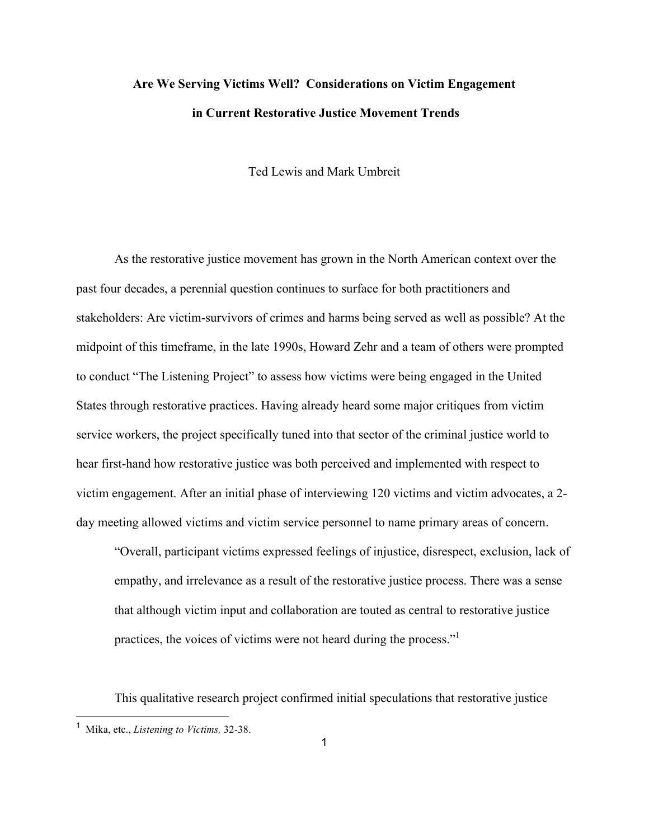# **Are We Serving Victims Well? Considerations on Victim Engagement in Current Restorative Justice Movement Trends**

Ted Lewis and Mark Umbreit

As the restorative justice movement has grown in the North American context over the past four decades, a perennial question continues to surface for both practitioners and stakeholders: Are victim-survivors of crimes and harms being served as well as possible? At the midpoint of this timeframe, in the late 1990s, Howard Zehr and a team of others were prompted to conduct "The Listening Project" to assess how victims were being engaged in the United States through restorative practices. Having already heard some major critiques from victim service workers, the project specifically tuned into that sector of the criminal justice world to hear first-hand how restorative justice was both perceived and implemented with respect to victim engagement. After an initial phase of interviewing 120 victims and victim advocates, a 2 day meeting allowed victims and victim service personnel to name primary areas of concern.

"Overall, participant victims expressed feelings of injustice, disrespect, exclusion, lack of empathy, and irrelevance as a result of the restorative justice process. There was a sense that although victim input and collaboration are touted as central to restorative justice practices, the voices of victims were not heard during the process."

This qualitative research project confirmed initial speculations that restorative justice

 <sup>1</sup> Mika, etc., *Listening to Victims,* 32-38.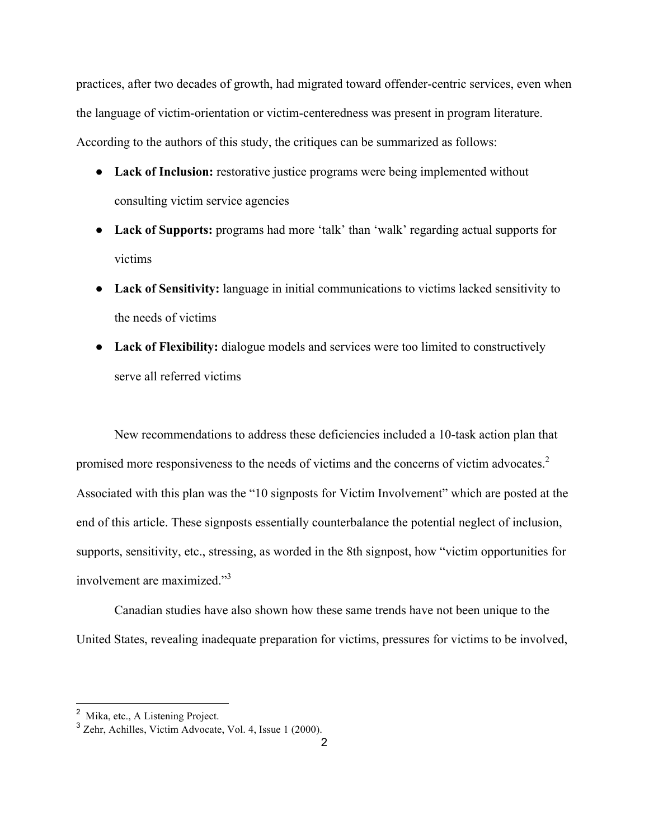practices, after two decades of growth, had migrated toward offender-centric services, even when the language of victim-orientation or victim-centeredness was present in program literature. According to the authors of this study, the critiques can be summarized as follows:

- **Lack of Inclusion:** restorative justice programs were being implemented without consulting victim service agencies
- **Lack of Supports:** programs had more 'talk' than 'walk' regarding actual supports for victims
- **Lack of Sensitivity:** language in initial communications to victims lacked sensitivity to the needs of victims
- Lack of Flexibility: dialogue models and services were too limited to constructively serve all referred victims

New recommendations to address these deficiencies included a 10-task action plan that promised more responsiveness to the needs of victims and the concerns of victim advocates.<sup>2</sup> Associated with this plan was the "10 signposts for Victim Involvement" which are posted at the end of this article. These signposts essentially counterbalance the potential neglect of inclusion, supports, sensitivity, etc., stressing, as worded in the 8th signpost, how "victim opportunities for involvement are maximized."<sup>3</sup>

Canadian studies have also shown how these same trends have not been unique to the United States, revealing inadequate preparation for victims, pressures for victims to be involved,

<sup>&</sup>lt;sup>2</sup> Mika, etc., A Listening Project.

 $3$  Zehr, Achilles, Victim Advocate, Vol. 4, Issue 1 (2000).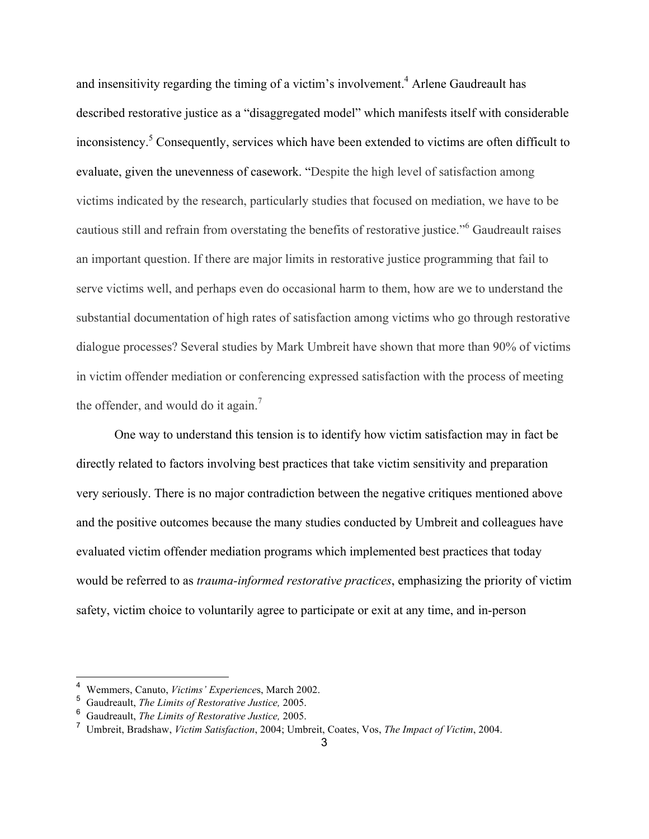and insensitivity regarding the timing of a victim's involvement.<sup>4</sup> Arlene Gaudreault has described restorative justice as a "disaggregated model" which manifests itself with considerable inconsistency.<sup>5</sup> Consequently, services which have been extended to victims are often difficult to evaluate, given the unevenness of casework. "Despite the high level of satisfaction among victims indicated by the research, particularly studies that focused on mediation, we have to be cautious still and refrain from overstating the benefits of restorative justice."<sup>6</sup> Gaudreault raises an important question. If there are major limits in restorative justice programming that fail to serve victims well, and perhaps even do occasional harm to them, how are we to understand the substantial documentation of high rates of satisfaction among victims who go through restorative dialogue processes? Several studies by Mark Umbreit have shown that more than 90% of victims in victim offender mediation or conferencing expressed satisfaction with the process of meeting the offender, and would do it again.<sup>7</sup>

One way to understand this tension is to identify how victim satisfaction may in fact be directly related to factors involving best practices that take victim sensitivity and preparation very seriously. There is no major contradiction between the negative critiques mentioned above and the positive outcomes because the many studies conducted by Umbreit and colleagues have evaluated victim offender mediation programs which implemented best practices that today would be referred to as *trauma-informed restorative practices*, emphasizing the priority of victim safety, victim choice to voluntarily agree to participate or exit at any time, and in-person

 <sup>4</sup> Wemmers, Canuto, *Victims' Experience*s, March 2002.

<sup>5</sup> Gaudreault, *The Limits of Restorative Justice,* 2005.

<sup>6</sup> Gaudreault, *The Limits of Restorative Justice,* 2005.

<sup>7</sup> Umbreit, Bradshaw, *Victim Satisfaction*, 2004; Umbreit, Coates, Vos, *The Impact of Victim*, 2004.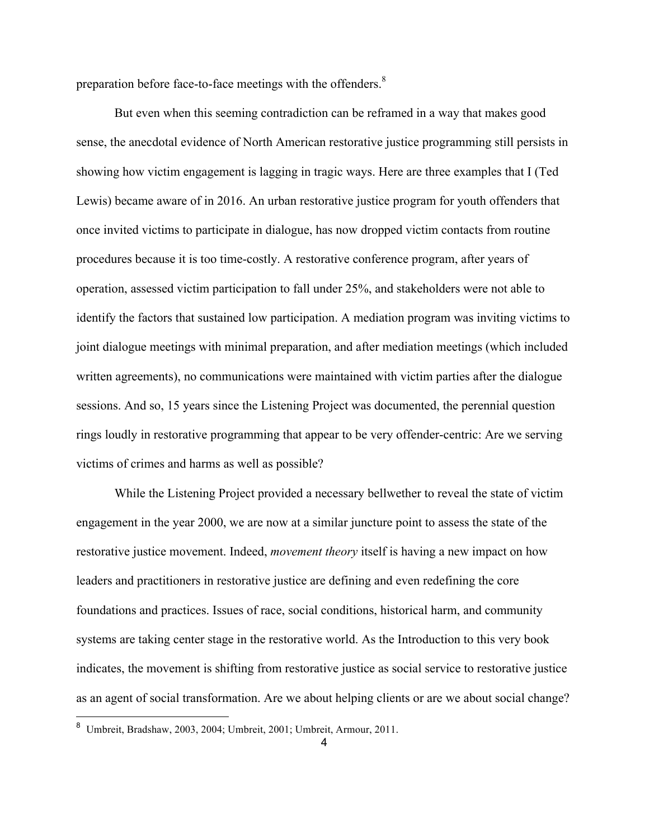preparation before face-to-face meetings with the offenders.<sup>8</sup>

But even when this seeming contradiction can be reframed in a way that makes good sense, the anecdotal evidence of North American restorative justice programming still persists in showing how victim engagement is lagging in tragic ways. Here are three examples that I (Ted Lewis) became aware of in 2016. An urban restorative justice program for youth offenders that once invited victims to participate in dialogue, has now dropped victim contacts from routine procedures because it is too time-costly. A restorative conference program, after years of operation, assessed victim participation to fall under 25%, and stakeholders were not able to identify the factors that sustained low participation. A mediation program was inviting victims to joint dialogue meetings with minimal preparation, and after mediation meetings (which included written agreements), no communications were maintained with victim parties after the dialogue sessions. And so, 15 years since the Listening Project was documented, the perennial question rings loudly in restorative programming that appear to be very offender-centric: Are we serving victims of crimes and harms as well as possible?

While the Listening Project provided a necessary bellwether to reveal the state of victim engagement in the year 2000, we are now at a similar juncture point to assess the state of the restorative justice movement. Indeed, *movement theory* itself is having a new impact on how leaders and practitioners in restorative justice are defining and even redefining the core foundations and practices. Issues of race, social conditions, historical harm, and community systems are taking center stage in the restorative world. As the Introduction to this very book indicates, the movement is shifting from restorative justice as social service to restorative justice as an agent of social transformation. Are we about helping clients or are we about social change?

 <sup>8</sup> Umbreit, Bradshaw, 2003, 2004; Umbreit, 2001; Umbreit, Armour, 2011.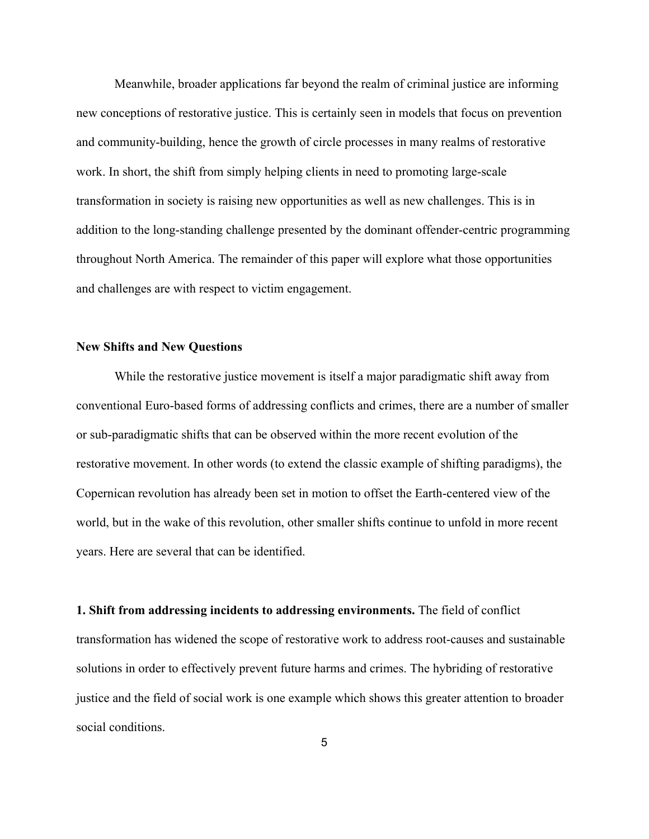Meanwhile, broader applications far beyond the realm of criminal justice are informing new conceptions of restorative justice. This is certainly seen in models that focus on prevention and community-building, hence the growth of circle processes in many realms of restorative work. In short, the shift from simply helping clients in need to promoting large-scale transformation in society is raising new opportunities as well as new challenges. This is in addition to the long-standing challenge presented by the dominant offender-centric programming throughout North America. The remainder of this paper will explore what those opportunities and challenges are with respect to victim engagement.

#### **New Shifts and New Questions**

While the restorative justice movement is itself a major paradigmatic shift away from conventional Euro-based forms of addressing conflicts and crimes, there are a number of smaller or sub-paradigmatic shifts that can be observed within the more recent evolution of the restorative movement. In other words (to extend the classic example of shifting paradigms), the Copernican revolution has already been set in motion to offset the Earth-centered view of the world, but in the wake of this revolution, other smaller shifts continue to unfold in more recent years. Here are several that can be identified.

**1. Shift from addressing incidents to addressing environments.** The field of conflict transformation has widened the scope of restorative work to address root-causes and sustainable solutions in order to effectively prevent future harms and crimes. The hybriding of restorative justice and the field of social work is one example which shows this greater attention to broader social conditions.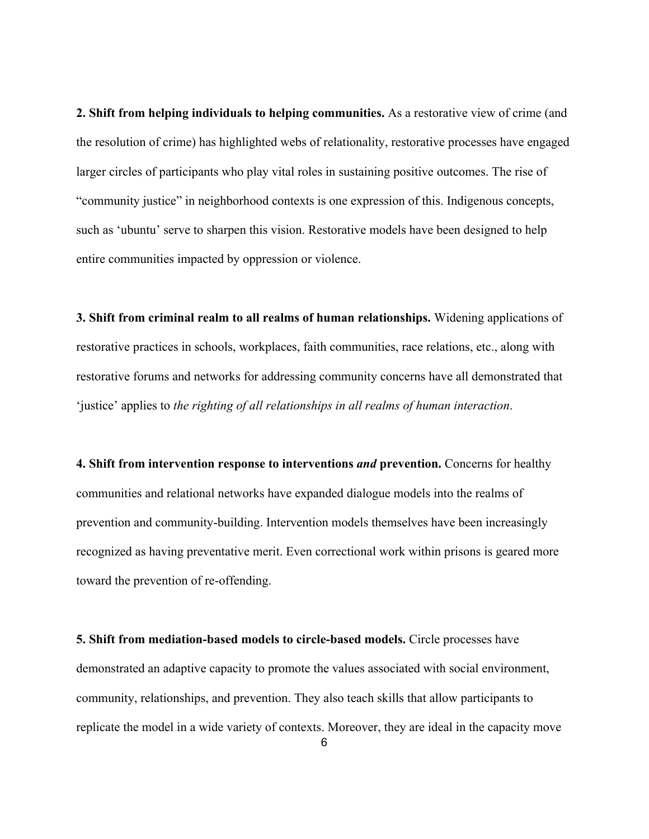**2. Shift from helping individuals to helping communities.** As a restorative view of crime (and the resolution of crime) has highlighted webs of relationality, restorative processes have engaged larger circles of participants who play vital roles in sustaining positive outcomes. The rise of "community justice" in neighborhood contexts is one expression of this. Indigenous concepts, such as 'ubuntu' serve to sharpen this vision. Restorative models have been designed to help entire communities impacted by oppression or violence.

**3. Shift from criminal realm to all realms of human relationships.** Widening applications of restorative practices in schools, workplaces, faith communities, race relations, etc., along with restorative forums and networks for addressing community concerns have all demonstrated that 'justice' applies to *the righting of all relationships in all realms of human interaction*.

**4. Shift from intervention response to interventions** *and* **prevention.** Concerns for healthy communities and relational networks have expanded dialogue models into the realms of prevention and community-building. Intervention models themselves have been increasingly recognized as having preventative merit. Even correctional work within prisons is geared more toward the prevention of re-offending.

**5. Shift from mediation-based models to circle-based models.** Circle processes have demonstrated an adaptive capacity to promote the values associated with social environment, community, relationships, and prevention. They also teach skills that allow participants to replicate the model in a wide variety of contexts. Moreover, they are ideal in the capacity move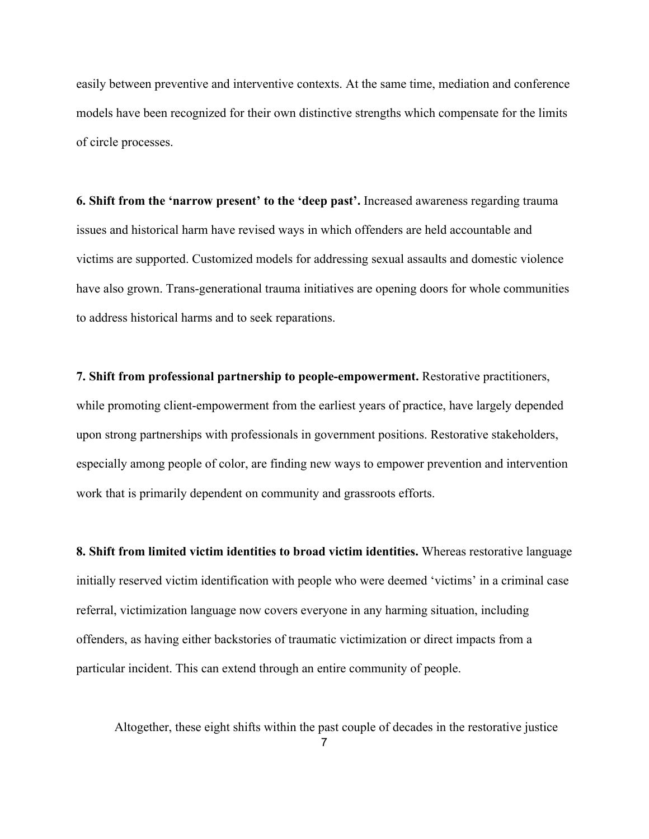easily between preventive and interventive contexts. At the same time, mediation and conference models have been recognized for their own distinctive strengths which compensate for the limits of circle processes.

**6. Shift from the 'narrow present' to the 'deep past'.** Increased awareness regarding trauma issues and historical harm have revised ways in which offenders are held accountable and victims are supported. Customized models for addressing sexual assaults and domestic violence have also grown. Trans-generational trauma initiatives are opening doors for whole communities to address historical harms and to seek reparations.

**7. Shift from professional partnership to people-empowerment.** Restorative practitioners, while promoting client-empowerment from the earliest years of practice, have largely depended upon strong partnerships with professionals in government positions. Restorative stakeholders, especially among people of color, are finding new ways to empower prevention and intervention work that is primarily dependent on community and grassroots efforts.

**8. Shift from limited victim identities to broad victim identities.** Whereas restorative language initially reserved victim identification with people who were deemed 'victims' in a criminal case referral, victimization language now covers everyone in any harming situation, including offenders, as having either backstories of traumatic victimization or direct impacts from a particular incident. This can extend through an entire community of people.

Altogether, these eight shifts within the past couple of decades in the restorative justice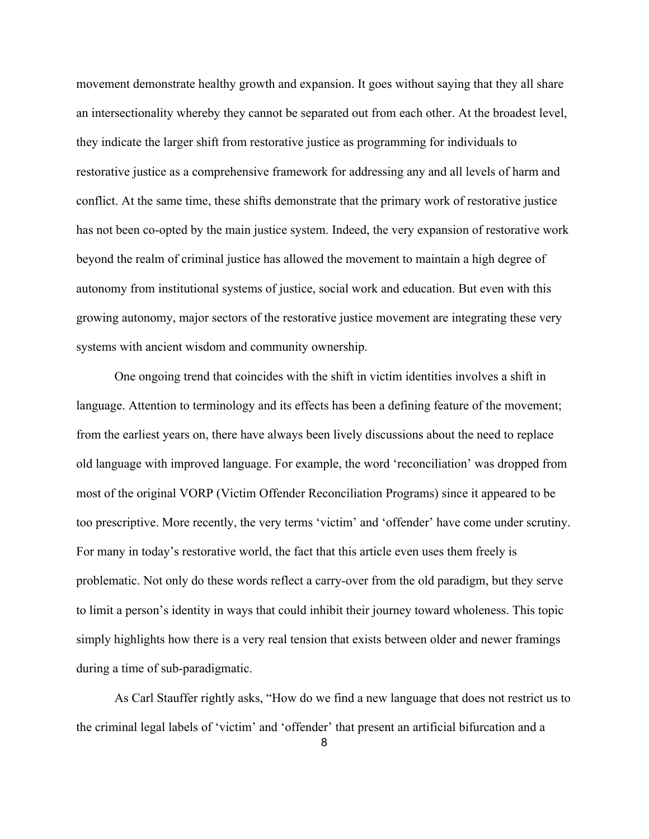movement demonstrate healthy growth and expansion. It goes without saying that they all share an intersectionality whereby they cannot be separated out from each other. At the broadest level, they indicate the larger shift from restorative justice as programming for individuals to restorative justice as a comprehensive framework for addressing any and all levels of harm and conflict. At the same time, these shifts demonstrate that the primary work of restorative justice has not been co-opted by the main justice system. Indeed, the very expansion of restorative work beyond the realm of criminal justice has allowed the movement to maintain a high degree of autonomy from institutional systems of justice, social work and education. But even with this growing autonomy, major sectors of the restorative justice movement are integrating these very systems with ancient wisdom and community ownership.

One ongoing trend that coincides with the shift in victim identities involves a shift in language. Attention to terminology and its effects has been a defining feature of the movement; from the earliest years on, there have always been lively discussions about the need to replace old language with improved language. For example, the word 'reconciliation' was dropped from most of the original VORP (Victim Offender Reconciliation Programs) since it appeared to be too prescriptive. More recently, the very terms 'victim' and 'offender' have come under scrutiny. For many in today's restorative world, the fact that this article even uses them freely is problematic. Not only do these words reflect a carry-over from the old paradigm, but they serve to limit a person's identity in ways that could inhibit their journey toward wholeness. This topic simply highlights how there is a very real tension that exists between older and newer framings during a time of sub-paradigmatic.

As Carl Stauffer rightly asks, "How do we find a new language that does not restrict us to the criminal legal labels of 'victim' and 'offender' that present an artificial bifurcation and a

8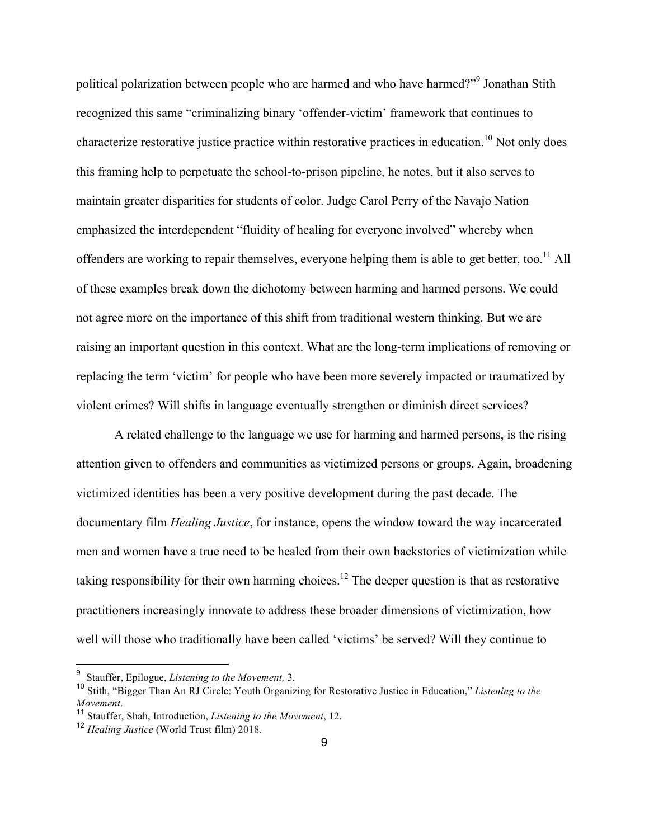political polarization between people who are harmed and who have harmed?"<sup>9</sup> Jonathan Stith recognized this same "criminalizing binary 'offender-victim' framework that continues to characterize restorative justice practice within restorative practices in education.<sup>10</sup> Not only does this framing help to perpetuate the school-to-prison pipeline, he notes, but it also serves to maintain greater disparities for students of color. Judge Carol Perry of the Navajo Nation emphasized the interdependent "fluidity of healing for everyone involved" whereby when offenders are working to repair themselves, everyone helping them is able to get better, too.<sup>11</sup> All of these examples break down the dichotomy between harming and harmed persons. We could not agree more on the importance of this shift from traditional western thinking. But we are raising an important question in this context. What are the long-term implications of removing or replacing the term 'victim' for people who have been more severely impacted or traumatized by violent crimes? Will shifts in language eventually strengthen or diminish direct services?

A related challenge to the language we use for harming and harmed persons, is the rising attention given to offenders and communities as victimized persons or groups. Again, broadening victimized identities has been a very positive development during the past decade. The documentary film *Healing Justice*, for instance, opens the window toward the way incarcerated men and women have a true need to be healed from their own backstories of victimization while taking responsibility for their own harming choices.<sup>12</sup> The deeper question is that as restorative practitioners increasingly innovate to address these broader dimensions of victimization, how well will those who traditionally have been called 'victims' be served? Will they continue to

 <sup>9</sup> Stauffer, Epilogue, *Listening to the Movement,* 3.

<sup>10</sup> Stith, "Bigger Than An RJ Circle: Youth Organizing for Restorative Justice in Education," *Listening to the* 

*Movement*. <sup>11</sup> Stauffer, Shah, Introduction, *Listening to the Movement*, 12.

<sup>12</sup> *Healing Justice* (World Trust film) 2018.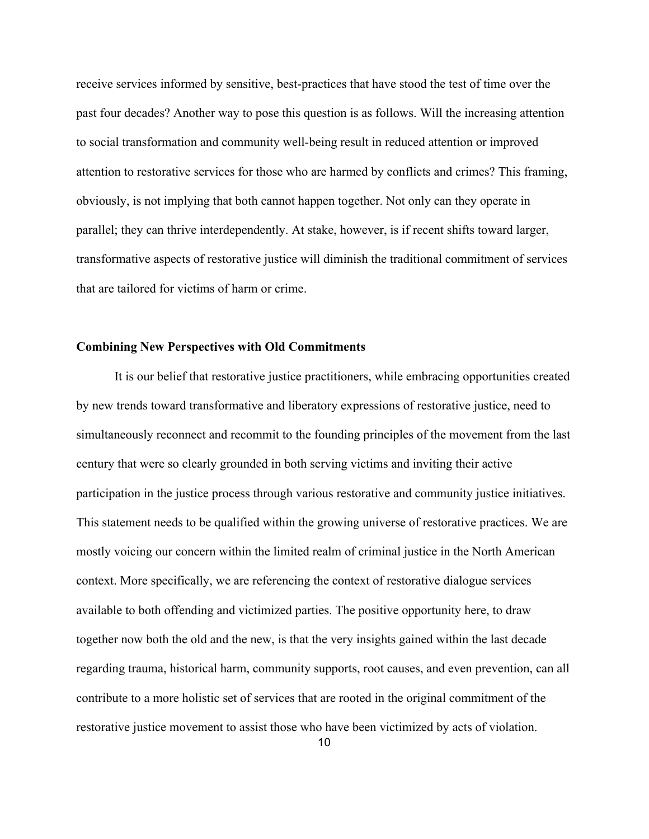receive services informed by sensitive, best-practices that have stood the test of time over the past four decades? Another way to pose this question is as follows. Will the increasing attention to social transformation and community well-being result in reduced attention or improved attention to restorative services for those who are harmed by conflicts and crimes? This framing, obviously, is not implying that both cannot happen together. Not only can they operate in parallel; they can thrive interdependently. At stake, however, is if recent shifts toward larger, transformative aspects of restorative justice will diminish the traditional commitment of services that are tailored for victims of harm or crime.

### **Combining New Perspectives with Old Commitments**

It is our belief that restorative justice practitioners, while embracing opportunities created by new trends toward transformative and liberatory expressions of restorative justice, need to simultaneously reconnect and recommit to the founding principles of the movement from the last century that were so clearly grounded in both serving victims and inviting their active participation in the justice process through various restorative and community justice initiatives. This statement needs to be qualified within the growing universe of restorative practices. We are mostly voicing our concern within the limited realm of criminal justice in the North American context. More specifically, we are referencing the context of restorative dialogue services available to both offending and victimized parties. The positive opportunity here, to draw together now both the old and the new, is that the very insights gained within the last decade regarding trauma, historical harm, community supports, root causes, and even prevention, can all contribute to a more holistic set of services that are rooted in the original commitment of the restorative justice movement to assist those who have been victimized by acts of violation.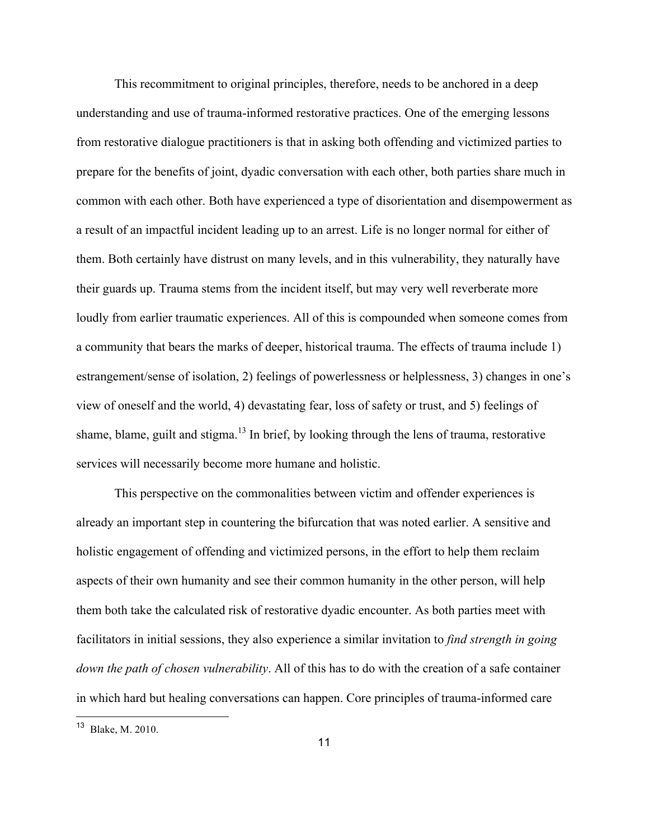This recommitment to original principles, therefore, needs to be anchored in a deep understanding and use of trauma-informed restorative practices. One of the emerging lessons from restorative dialogue practitioners is that in asking both offending and victimized parties to prepare for the benefits of joint, dyadic conversation with each other, both parties share much in common with each other. Both have experienced a type of disorientation and disempowerment as a result of an impactful incident leading up to an arrest. Life is no longer normal for either of them. Both certainly have distrust on many levels, and in this vulnerability, they naturally have their guards up. Trauma stems from the incident itself, but may very well reverberate more loudly from earlier traumatic experiences. All of this is compounded when someone comes from a community that bears the marks of deeper, historical trauma. The effects of trauma include 1) estrangement/sense of isolation, 2) feelings of powerlessness or helplessness, 3) changes in one's view of oneself and the world, 4) devastating fear, loss of safety or trust, and 5) feelings of shame, blame, guilt and stigma.<sup>13</sup> In brief, by looking through the lens of trauma, restorative services will necessarily become more humane and holistic.

This perspective on the commonalities between victim and offender experiences is already an important step in countering the bifurcation that was noted earlier. A sensitive and holistic engagement of offending and victimized persons, in the effort to help them reclaim aspects of their own humanity and see their common humanity in the other person, will help them both take the calculated risk of restorative dyadic encounter. As both parties meet with facilitators in initial sessions, they also experience a similar invitation to *find strength in going down the path of chosen vulnerability*. All of this has to do with the creation of a safe container in which hard but healing conversations can happen. Core principles of trauma-informed care

 <sup>13</sup> Blake, M. 2010.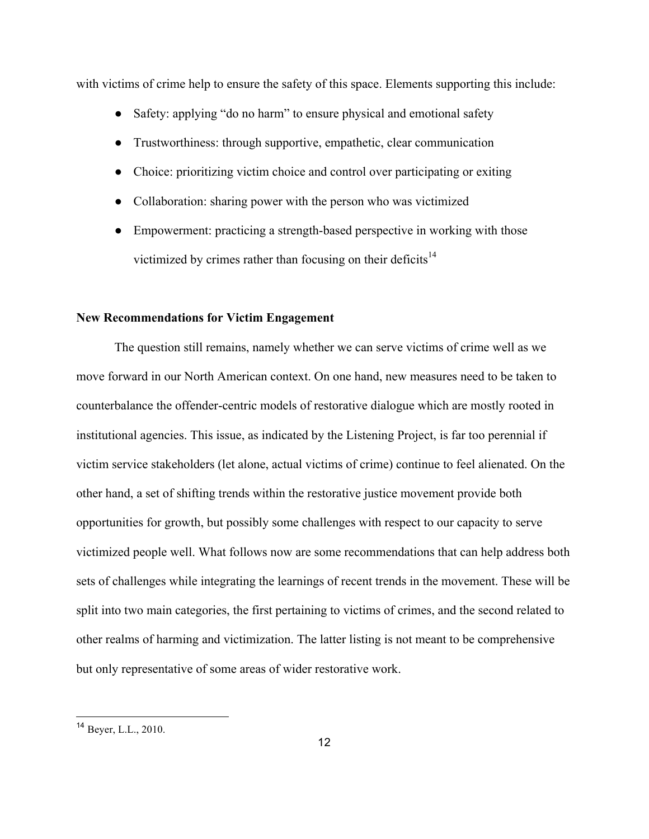with victims of crime help to ensure the safety of this space. Elements supporting this include:

- Safety: applying "do no harm" to ensure physical and emotional safety
- Trustworthiness: through supportive, empathetic, clear communication
- Choice: prioritizing victim choice and control over participating or exiting
- Collaboration: sharing power with the person who was victimized
- Empowerment: practicing a strength-based perspective in working with those victimized by crimes rather than focusing on their deficits<sup>14</sup>

#### **New Recommendations for Victim Engagement**

The question still remains, namely whether we can serve victims of crime well as we move forward in our North American context. On one hand, new measures need to be taken to counterbalance the offender-centric models of restorative dialogue which are mostly rooted in institutional agencies. This issue, as indicated by the Listening Project, is far too perennial if victim service stakeholders (let alone, actual victims of crime) continue to feel alienated. On the other hand, a set of shifting trends within the restorative justice movement provide both opportunities for growth, but possibly some challenges with respect to our capacity to serve victimized people well. What follows now are some recommendations that can help address both sets of challenges while integrating the learnings of recent trends in the movement. These will be split into two main categories, the first pertaining to victims of crimes, and the second related to other realms of harming and victimization. The latter listing is not meant to be comprehensive but only representative of some areas of wider restorative work.

 <sup>14</sup> Beyer, L.L., 2010.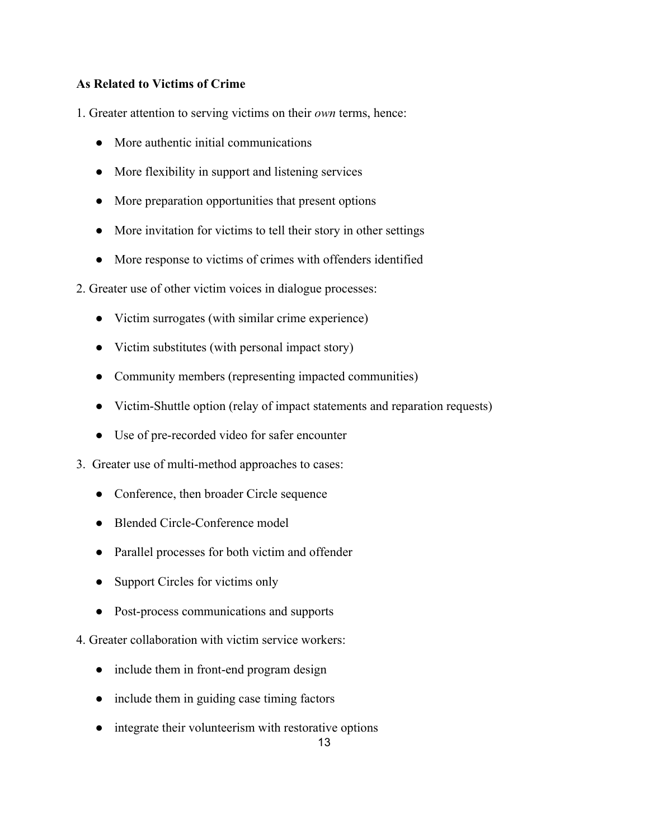# **As Related to Victims of Crime**

1. Greater attention to serving victims on their *own* terms, hence:

- More authentic initial communications
- More flexibility in support and listening services
- More preparation opportunities that present options
- More invitation for victims to tell their story in other settings
- More response to victims of crimes with offenders identified
- 2. Greater use of other victim voices in dialogue processes:
	- Victim surrogates (with similar crime experience)
	- Victim substitutes (with personal impact story)
	- Community members (representing impacted communities)
	- Victim-Shuttle option (relay of impact statements and reparation requests)
	- Use of pre-recorded video for safer encounter
- 3. Greater use of multi-method approaches to cases:
	- Conference, then broader Circle sequence
	- Blended Circle-Conference model
	- Parallel processes for both victim and offender
	- Support Circles for victims only
	- Post-process communications and supports
- 4. Greater collaboration with victim service workers:
	- include them in front-end program design
	- include them in guiding case timing factors
	- integrate their volunteerism with restorative options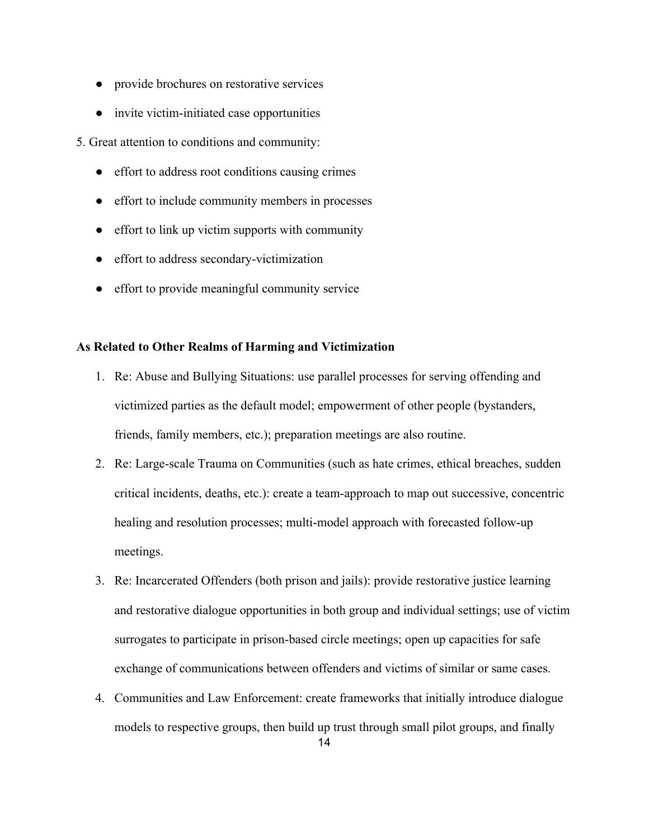- provide brochures on restorative services
- invite victim-initiated case opportunities

5. Great attention to conditions and community:

- effort to address root conditions causing crimes
- effort to include community members in processes
- effort to link up victim supports with community
- effort to address secondary-victimization
- effort to provide meaningful community service

## **As Related to Other Realms of Harming and Victimization**

- 1. Re: Abuse and Bullying Situations: use parallel processes for serving offending and victimized parties as the default model; empowerment of other people (bystanders, friends, family members, etc.); preparation meetings are also routine.
- 2. Re: Large-scale Trauma on Communities (such as hate crimes, ethical breaches, sudden critical incidents, deaths, etc.): create a team-approach to map out successive, concentric healing and resolution processes; multi-model approach with forecasted follow-up meetings.
- 3. Re: Incarcerated Offenders (both prison and jails): provide restorative justice learning and restorative dialogue opportunities in both group and individual settings; use of victim surrogates to participate in prison-based circle meetings; open up capacities for safe exchange of communications between offenders and victims of similar or same cases.
- 4. Communities and Law Enforcement: create frameworks that initially introduce dialogue models to respective groups, then build up trust through small pilot groups, and finally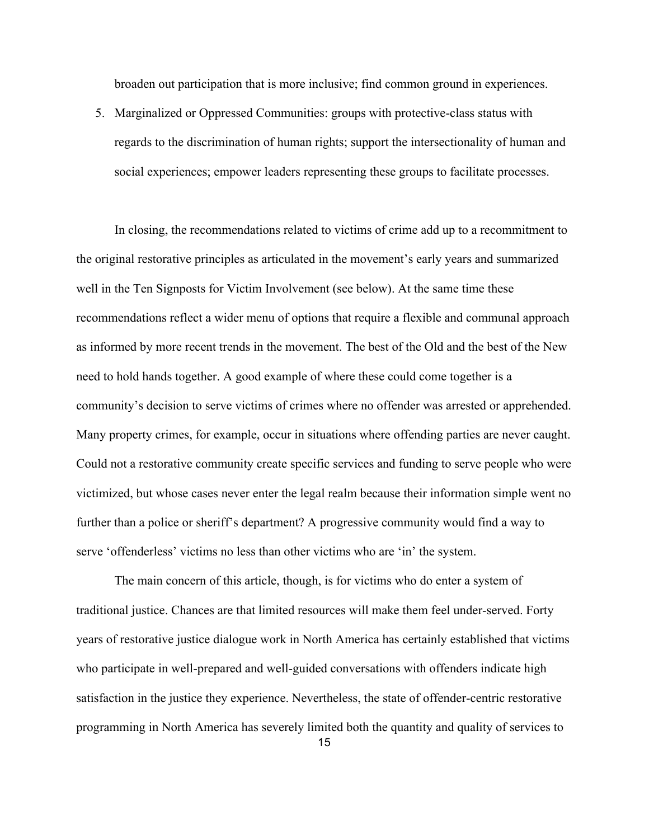broaden out participation that is more inclusive; find common ground in experiences.

5. Marginalized or Oppressed Communities: groups with protective-class status with regards to the discrimination of human rights; support the intersectionality of human and social experiences; empower leaders representing these groups to facilitate processes.

In closing, the recommendations related to victims of crime add up to a recommitment to the original restorative principles as articulated in the movement's early years and summarized well in the Ten Signposts for Victim Involvement (see below). At the same time these recommendations reflect a wider menu of options that require a flexible and communal approach as informed by more recent trends in the movement. The best of the Old and the best of the New need to hold hands together. A good example of where these could come together is a community's decision to serve victims of crimes where no offender was arrested or apprehended. Many property crimes, for example, occur in situations where offending parties are never caught. Could not a restorative community create specific services and funding to serve people who were victimized, but whose cases never enter the legal realm because their information simple went no further than a police or sheriff's department? A progressive community would find a way to serve 'offenderless' victims no less than other victims who are 'in' the system.

The main concern of this article, though, is for victims who do enter a system of traditional justice. Chances are that limited resources will make them feel under-served. Forty years of restorative justice dialogue work in North America has certainly established that victims who participate in well-prepared and well-guided conversations with offenders indicate high satisfaction in the justice they experience. Nevertheless, the state of offender-centric restorative programming in North America has severely limited both the quantity and quality of services to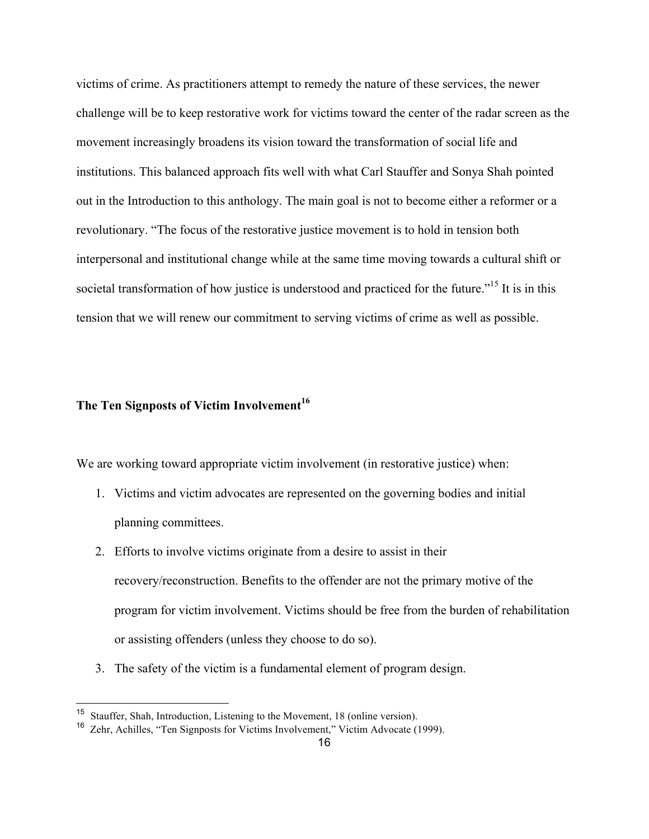victims of crime. As practitioners attempt to remedy the nature of these services, the newer challenge will be to keep restorative work for victims toward the center of the radar screen as the movement increasingly broadens its vision toward the transformation of social life and institutions. This balanced approach fits well with what Carl Stauffer and Sonya Shah pointed out in the Introduction to this anthology. The main goal is not to become either a reformer or a revolutionary. "The focus of the restorative justice movement is to hold in tension both interpersonal and institutional change while at the same time moving towards a cultural shift or societal transformation of how justice is understood and practiced for the future.<sup>"15</sup> It is in this tension that we will renew our commitment to serving victims of crime as well as possible.

# **The Ten Signposts of Victim Involvement 16**

We are working toward appropriate victim involvement (in restorative justice) when:

- 1. Victims and victim advocates are represented on the governing bodies and initial planning committees.
- 2. Efforts to involve victims originate from a desire to assist in their recovery/reconstruction. Benefits to the offender are not the primary motive of the program for victim involvement. Victims should be free from the burden of rehabilitation or assisting offenders (unless they choose to do so).
- 3. The safety of the victim is a fundamental element of program design.

 <sup>15</sup> Stauffer, Shah, Introduction, Listening to the Movement, 18 (online version).

<sup>16</sup> Zehr, Achilles, "Ten Signposts for Victims Involvement," Victim Advocate (1999).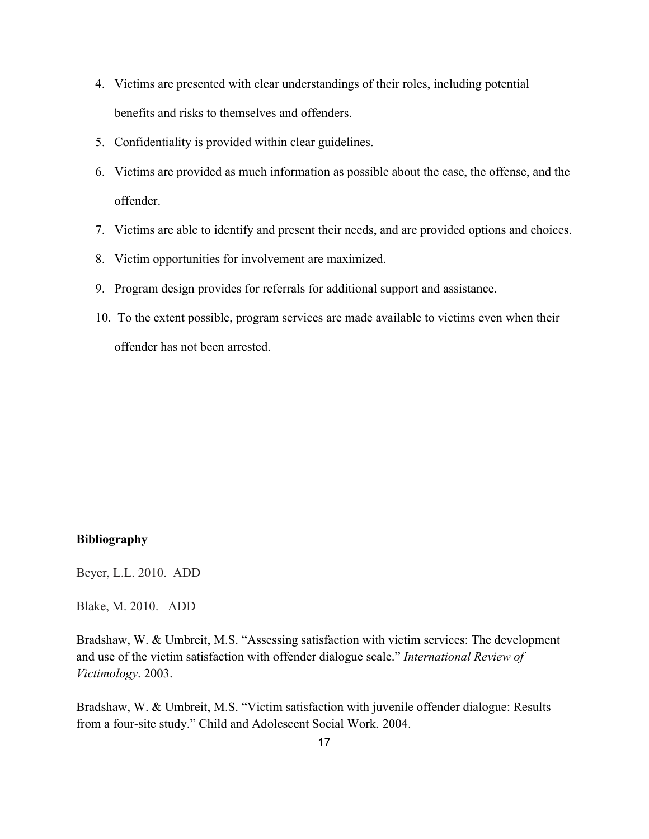- 4. Victims are presented with clear understandings of their roles, including potential benefits and risks to themselves and offenders.
- 5. Confidentiality is provided within clear guidelines.
- 6. Victims are provided as much information as possible about the case, the offense, and the offender.
- 7. Victims are able to identify and present their needs, and are provided options and choices.
- 8. Victim opportunities for involvement are maximized.
- 9. Program design provides for referrals for additional support and assistance.
- 10. To the extent possible, program services are made available to victims even when their offender has not been arrested.

#### **Bibliography**

Beyer, L.L. 2010. ADD

Blake, M. 2010. ADD

Bradshaw, W. & Umbreit, M.S. "Assessing satisfaction with victim services: The development and use of the victim satisfaction with offender dialogue scale." *International Review of Victimology*. 2003.

Bradshaw, W. & Umbreit, M.S. "Victim satisfaction with juvenile offender dialogue: Results from a four-site study." Child and Adolescent Social Work. 2004.